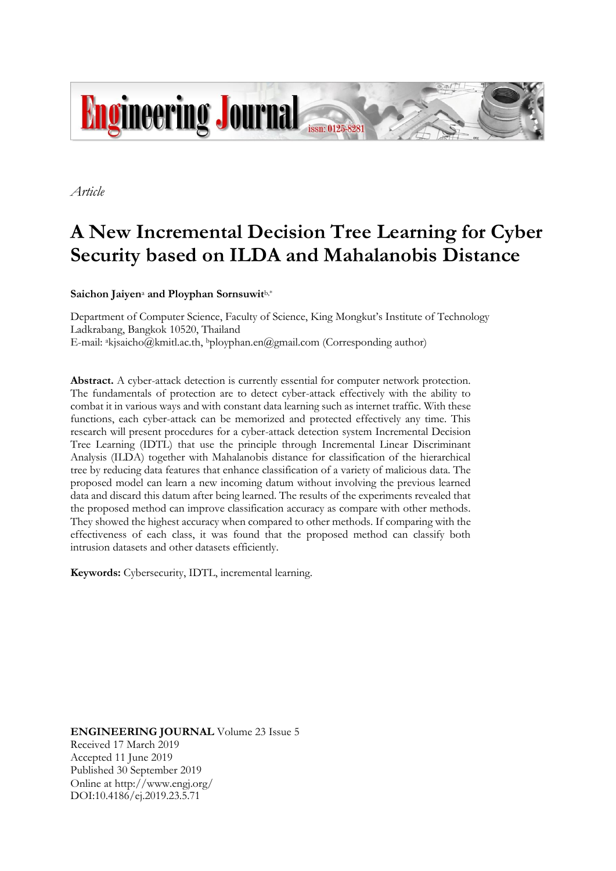

*Article*

# **A New Incremental Decision Tree Learning for Cyber Security based on ILDA and Mahalanobis Distance**

**Saichon Jaiyen**<sup>a</sup> **and Ployphan Sornsuwit**b,\*

Department of Computer Science, Faculty of Science, King Mongkut's Institute of Technology Ladkrabang, Bangkok 10520, Thailand E-mail: akjsaicho@kmitl.ac.th, bployphan.en@gmail.com (Corresponding author)

**Abstract.** A cyber-attack detection is currently essential for computer network protection. The fundamentals of protection are to detect cyber-attack effectively with the ability to combat it in various ways and with constant data learning such as internet traffic. With these functions, each cyber-attack can be memorized and protected effectively any time. This research will present procedures for a cyber-attack detection system Incremental Decision Tree Learning (IDTL) that use the principle through Incremental Linear Discriminant Analysis (ILDA) together with Mahalanobis distance for classification of the hierarchical tree by reducing data features that enhance classification of a variety of malicious data. The proposed model can learn a new incoming datum without involving the previous learned data and discard this datum after being learned. The results of the experiments revealed that the proposed method can improve classification accuracy as compare with other methods. They showed the highest accuracy when compared to other methods. If comparing with the effectiveness of each class, it was found that the proposed method can classify both intrusion datasets and other datasets efficiently.

**Keywords:** Cybersecurity, IDTL, incremental learning.

**ENGINEERING JOURNAL** Volume 23 Issue 5 Received 17 March 2019 Accepted 11 June 2019 Published 30 September 2019 Online at http://www.engj.org/ DOI:10.4186/ej.2019.23.5.71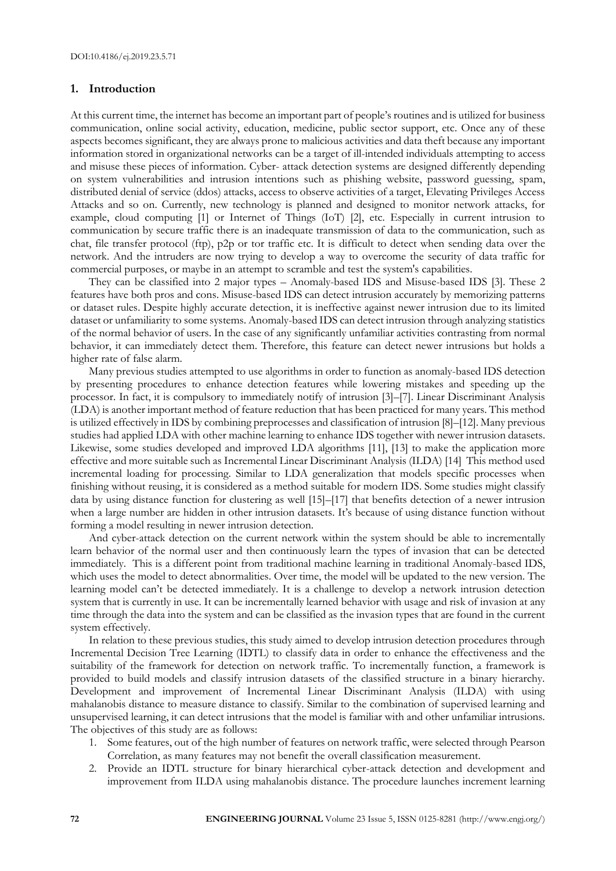## **1. Introduction**

At this current time, the internet has become an important part of people's routines and is utilized for business communication, online social activity, education, medicine, public sector support, etc. Once any of these aspects becomes significant, they are always prone to malicious activities and data theft because any important information stored in organizational networks can be a target of ill-intended individuals attempting to access and misuse these pieces of information. Cyber- attack detection systems are designed differently depending on system vulnerabilities and intrusion intentions such as phishing website, password guessing, spam, distributed denial of service (ddos) attacks, access to observe activities of a target, Elevating Privileges Access Attacks and so on. Currently, new technology is planned and designed to monitor network attacks, for example, cloud computing [1] or Internet of Things (IoT) [2], etc. Especially in current intrusion to communication by secure traffic there is an inadequate transmission of data to the communication, such as chat, file transfer protocol (ftp), p2p or tor traffic etc. It is difficult to detect when sending data over the network. And the intruders are now trying to develop a way to overcome the security of data traffic for commercial purposes, or maybe in an attempt to scramble and test the system's capabilities.

They can be classified into 2 major types – Anomaly-based IDS and Misuse-based IDS [3]. These 2 features have both pros and cons. Misuse-based IDS can detect intrusion accurately by memorizing patterns or dataset rules. Despite highly accurate detection, it is ineffective against newer intrusion due to its limited dataset or unfamiliarity to some systems. Anomaly-based IDS can detect intrusion through analyzing statistics of the normal behavior of users. In the case of any significantly unfamiliar activities contrasting from normal behavior, it can immediately detect them. Therefore, this feature can detect newer intrusions but holds a higher rate of false alarm.

Many previous studies attempted to use algorithms in order to function as anomaly-based IDS detection by presenting procedures to enhance detection features while lowering mistakes and speeding up the processor. In fact, it is compulsory to immediately notify of intrusion [3]–[7]. Linear Discriminant Analysis (LDA) is another important method of feature reduction that has been practiced for many years. This method is utilized effectively in IDS by combining preprocesses and classification of intrusion [8]–[12]. Many previous studies had applied LDA with other machine learning to enhance IDS together with newer intrusion datasets. Likewise, some studies developed and improved LDA algorithms [11], [13] to make the application more effective and more suitable such as Incremental Linear Discriminant Analysis (ILDA) [14] This method used incremental loading for processing. Similar to LDA generalization that models specific processes when finishing without reusing, it is considered as a method suitable for modern IDS. Some studies might classify data by using distance function for clustering as well [15]–[17] that benefits detection of a newer intrusion when a large number are hidden in other intrusion datasets. It's because of using distance function without forming a model resulting in newer intrusion detection.

And cyber-attack detection on the current network within the system should be able to incrementally learn behavior of the normal user and then continuously learn the types of invasion that can be detected immediately. This is a different point from traditional machine learning in traditional Anomaly-based IDS, which uses the model to detect abnormalities. Over time, the model will be updated to the new version. The learning model can't be detected immediately. It is a challenge to develop a network intrusion detection system that is currently in use. It can be incrementally learned behavior with usage and risk of invasion at any time through the data into the system and can be classified as the invasion types that are found in the current system effectively.

In relation to these previous studies, this study aimed to develop intrusion detection procedures through Incremental Decision Tree Learning (IDTL) to classify data in order to enhance the effectiveness and the suitability of the framework for detection on network traffic. To incrementally function, a framework is provided to build models and classify intrusion datasets of the classified structure in a binary hierarchy. Development and improvement of Incremental Linear Discriminant Analysis (ILDA) with using mahalanobis distance to measure distance to classify. Similar to the combination of supervised learning and unsupervised learning, it can detect intrusions that the model is familiar with and other unfamiliar intrusions. The objectives of this study are as follows:

- 1. Some features, out of the high number of features on network traffic, were selected through Pearson Correlation, as many features may not benefit the overall classification measurement.
- 2. Provide an IDTL structure for binary hierarchical cyber-attack detection and development and improvement from ILDA using mahalanobis distance. The procedure launches increment learning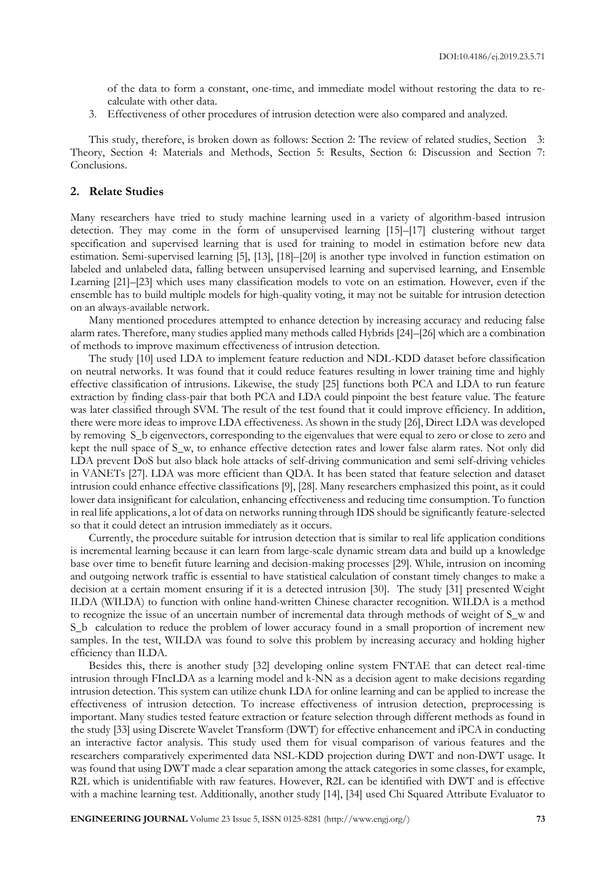of the data to form a constant, one-time, and immediate model without restoring the data to recalculate with other data.

3. Effectiveness of other procedures of intrusion detection were also compared and analyzed.

This study, therefore, is broken down as follows: Section 2: The review of related studies, Section 3: Theory, Section 4: Materials and Methods, Section 5: Results, Section 6: Discussion and Section 7: Conclusions.

#### **2. Relate Studies**

Many researchers have tried to study machine learning used in a variety of algorithm-based intrusion detection. They may come in the form of unsupervised learning [15]–[17] clustering without target specification and supervised learning that is used for training to model in estimation before new data estimation. Semi-supervised learning [5], [13], [18]–[20] is another type involved in function estimation on labeled and unlabeled data, falling between unsupervised learning and supervised learning, and Ensemble Learning [21]–[23] which uses many classification models to vote on an estimation. However, even if the ensemble has to build multiple models for high-quality voting, it may not be suitable for intrusion detection on an always-available network.

Many mentioned procedures attempted to enhance detection by increasing accuracy and reducing false alarm rates. Therefore, many studies applied many methods called Hybrids [24]–[26] which are a combination of methods to improve maximum effectiveness of intrusion detection.

The study [10] used LDA to implement feature reduction and NDL-KDD dataset before classification on neutral networks. It was found that it could reduce features resulting in lower training time and highly effective classification of intrusions. Likewise, the study [25] functions both PCA and LDA to run feature extraction by finding class-pair that both PCA and LDA could pinpoint the best feature value. The feature was later classified through SVM. The result of the test found that it could improve efficiency. In addition, there were more ideas to improve LDA effectiveness. As shown in the study [26], Direct LDA was developed by removing S\_b eigenvectors, corresponding to the eigenvalues that were equal to zero or close to zero and kept the null space of S\_w, to enhance effective detection rates and lower false alarm rates. Not only did LDA prevent DoS but also black hole attacks of self-driving communication and semi self-driving vehicles in VANETs [27]. LDA was more efficient than QDA. It has been stated that feature selection and dataset intrusion could enhance effective classifications [9], [28]. Many researchers emphasized this point, as it could lower data insignificant for calculation, enhancing effectiveness and reducing time consumption. To function in real life applications, a lot of data on networks running through IDS should be significantly feature-selected so that it could detect an intrusion immediately as it occurs.

Currently, the procedure suitable for intrusion detection that is similar to real life application conditions is incremental learning because it can learn from large-scale dynamic stream data and build up a knowledge base over time to benefit future learning and decision-making processes [29]. While, intrusion on incoming and outgoing network traffic is essential to have statistical calculation of constant timely changes to make a decision at a certain moment ensuring if it is a detected intrusion [30]. The study [31] presented Weight ILDA (WILDA) to function with online hand-written Chinese character recognition. WILDA is a method to recognize the issue of an uncertain number of incremental data through methods of weight of S\_w and S\_b calculation to reduce the problem of lower accuracy found in a small proportion of increment new samples. In the test, WILDA was found to solve this problem by increasing accuracy and holding higher efficiency than ILDA.

Besides this, there is another study [32] developing online system FNTAE that can detect real-time intrusion through FIncLDA as a learning model and k-NN as a decision agent to make decisions regarding intrusion detection. This system can utilize chunk LDA for online learning and can be applied to increase the effectiveness of intrusion detection. To increase effectiveness of intrusion detection, preprocessing is important. Many studies tested feature extraction or feature selection through different methods as found in the study [33] using Discrete Wavelet Transform (DWT) for effective enhancement and iPCA in conducting an interactive factor analysis. This study used them for visual comparison of various features and the researchers comparatively experimented data NSL-KDD projection during DWT and non-DWT usage. It was found that using DWT made a clear separation among the attack categories in some classes, for example, R2L which is unidentifiable with raw features. However, R2L can be identified with DWT and is effective with a machine learning test. Additionally, another study [14], [34] used Chi Squared Attribute Evaluator to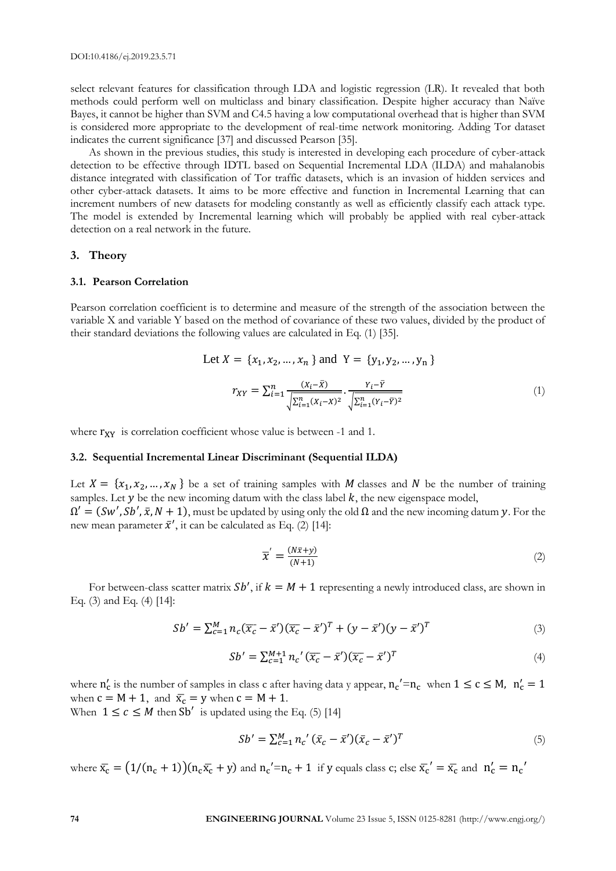select relevant features for classification through LDA and logistic regression (LR). It revealed that both methods could perform well on multiclass and binary classification. Despite higher accuracy than Naïve Bayes, it cannot be higher than SVM and C4.5 having a low computational overhead that is higher than SVM is considered more appropriate to the development of real-time network monitoring. Adding Tor dataset indicates the current significance [37] and discussed Pearson [35].

As shown in the previous studies, this study is interested in developing each procedure of cyber-attack detection to be effective through IDTL based on Sequential Incremental LDA (ILDA) and mahalanobis distance integrated with classification of Tor traffic datasets, which is an invasion of hidden services and other cyber-attack datasets. It aims to be more effective and function in Incremental Learning that can increment numbers of new datasets for modeling constantly as well as efficiently classify each attack type. The model is extended by Incremental learning which will probably be applied with real cyber-attack detection on a real network in the future.

#### **3. Theory**

#### **3.1. Pearson Correlation**

Pearson correlation coefficient is to determine and measure of the strength of the association between the variable X and variable Y based on the method of covariance of these two values, divided by the product of their standard deviations the following values are calculated in Eq. (1) [35].

Let 
$$
X = \{x_1, x_2, ..., x_n\}
$$
 and  $Y = \{y_1, y_2, ..., y_n\}$   

$$
r_{XY} = \sum_{i=1}^n \frac{(x_i - \bar{x})}{\sqrt{\sum_{i=1}^n (x_i - \bar{x})^2}} \cdot \frac{y_i - \bar{y}}{\sqrt{\sum_{i=1}^n (y_i - \bar{y})^2}}
$$
(1)

where  $r_{XY}$  is correlation coefficient whose value is between -1 and 1.

#### **3.2. Sequential Incremental Linear Discriminant (Sequential ILDA)**

Let  $X = \{x_1, x_2, ..., x_N\}$  be a set of training samples with M classes and N be the number of training samples. Let  $y$  be the new incoming datum with the class label  $k$ , the new eigenspace model,  $\Omega' = (Sw', Sb', \bar{x}, N + 1)$ , must be updated by using only the old  $\Omega$  and the new incoming datum y. For the new mean parameter  $\bar{x}'$ , it can be calculated as Eq. (2) [14]:

$$
\overline{x}' = \frac{(N\overline{x} + y)}{(N+1)}
$$
 (2)

For between-class scatter matrix  $Sb'$ , if  $k = M + 1$  representing a newly introduced class, are shown in Eq. (3) and Eq. (4) [14]:

$$
Sb' = \sum_{c=1}^{M} n_c (\overline{x_c} - \overline{x}') (\overline{x_c} - \overline{x}')^T + (y - \overline{x}') (y - \overline{x}')^T
$$
\n(3)

$$
Sb' = \sum_{c=1}^{M+1} n_c' (\overline{x_c} - \overline{x}') (\overline{x_c} - \overline{x}')^T
$$
\n(4)

where  $n'_c$  is the number of samples in class c after having data y appear,  $n_c' = n_c$  when  $1 \le c \le M$ ,  $n'_c = 1$ when  $c = M + 1$ , and  $\bar{x_c} = y$  when  $c = M + 1$ .

When  $1 \leq c \leq M$  then Sb' is updated using the Eq. (5) [14]

$$
Sb' = \sum_{c=1}^{M} n_c' (\bar{x}_c - \bar{x}') (\bar{x}_c - \bar{x}')^T
$$
\n(5)

where  $\bar{x_c} = (1/(n_c+1))(n_c\bar{x_c} + y)$  and  $n_c' = n_c + 1$  if y equals class c; else  $\bar{x_c}' = \bar{x_c}$  and  $n_c' = n_c'$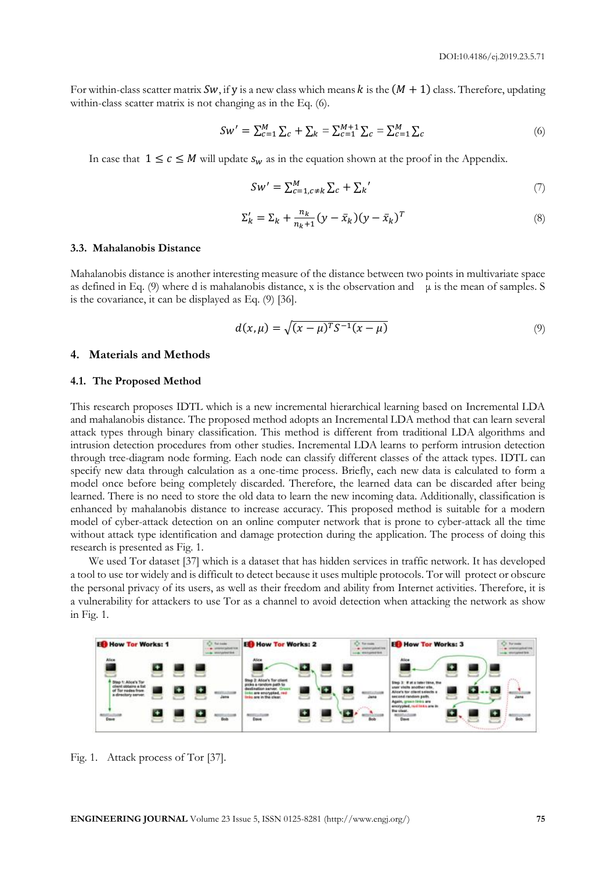For within-class scatter matrix Sw, if y is a new class which means k is the  $(M + 1)$  class. Therefore, updating within-class scatter matrix is not changing as in the Eq. (6).

$$
Sw' = \sum_{c=1}^{M} \sum_{c} + \sum_{k} = \sum_{c=1}^{M+1} \sum_{c} = \sum_{c=1}^{M} \sum_{c} \tag{6}
$$

In case that  $1 \leq c \leq M$  will update  $s_w$  as in the equation shown at the proof in the Appendix.

$$
Sw' = \sum_{c=1, c \neq k}^{M} \sum_{c} + \sum_{k}^{\prime} \tag{7}
$$

$$
\Sigma'_k = \Sigma_k + \frac{n_k}{n_k + 1} (y - \bar{x}_k)(y - \bar{x}_k)^T
$$
\n(8)

#### **3.3. Mahalanobis Distance**

Mahalanobis distance is another interesting measure of the distance between two points in multivariate space as defined in Eq. (9) where d is mahalanobis distance, x is the observation and  $\mu$  is the mean of samples. S is the covariance, it can be displayed as Eq. (9) [36].

$$
d(x,\mu) = \sqrt{(x-\mu)^T S^{-1} (x-\mu)}
$$
\n(9)

#### **4. Materials and Methods**

#### **4.1. The Proposed Method**

This research proposes IDTL which is a new incremental hierarchical learning based on Incremental LDA and mahalanobis distance. The proposed method adopts an Incremental LDA method that can learn several attack types through binary classification. This method is different from traditional LDA algorithms and intrusion detection procedures from other studies. Incremental LDA learns to perform intrusion detection through tree-diagram node forming. Each node can classify different classes of the attack types. IDTL can specify new data through calculation as a one-time process. Briefly, each new data is calculated to form a model once before being completely discarded. Therefore, the learned data can be discarded after being learned. There is no need to store the old data to learn the new incoming data. Additionally, classification is enhanced by mahalanobis distance to increase accuracy. This proposed method is suitable for a modern model of cyber-attack detection on an online computer network that is prone to cyber-attack all the time without attack type identification and damage protection during the application. The process of doing this research is presented as Fig. 1.

We used Tor dataset [37] which is a dataset that has hidden services in traffic network. It has developed a tool to use tor widely and is difficult to detect because it uses multiple protocols. Tor will protect or obscure the personal privacy of its users, as well as their freedom and ability from Internet activities. Therefore, it is a vulnerability for attackers to use Tor as a channel to avoid detection when attacking the network as show in Fig. 1.



Fig. 1. Attack process of Tor [37].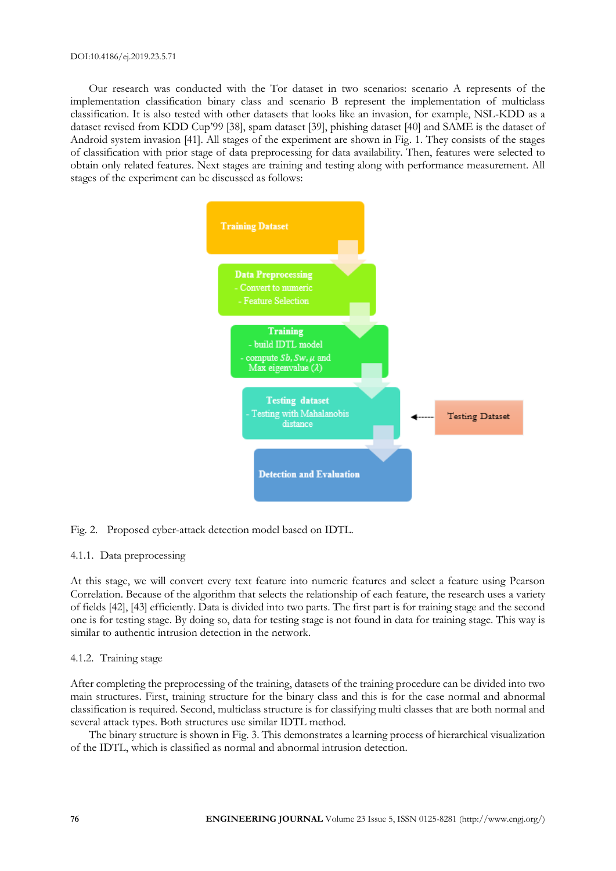Our research was conducted with the Tor dataset in two scenarios: scenario A represents of the implementation classification binary class and scenario B represent the implementation of multiclass classification. It is also tested with other datasets that looks like an invasion, for example, NSL-KDD as a dataset revised from KDD Cup'99 [38], spam dataset [39], phishing dataset [40] and SAME is the dataset of Android system invasion [41]. All stages of the experiment are shown in Fig. 1. They consists of the stages of classification with prior stage of data preprocessing for data availability. Then, features were selected to obtain only related features. Next stages are training and testing along with performance measurement. All stages of the experiment can be discussed as follows:



# Fig. 2. Proposed cyber-attack detection model based on IDTL.

## 4.1.1. Data preprocessing

At this stage, we will convert every text feature into numeric features and select a feature using Pearson Correlation. Because of the algorithm that selects the relationship of each feature, the research uses a variety of fields [42], [43] efficiently. Data is divided into two parts. The first part is for training stage and the second one is for testing stage. By doing so, data for testing stage is not found in data for training stage. This way is similar to authentic intrusion detection in the network.

## 4.1.2. Training stage

After completing the preprocessing of the training, datasets of the training procedure can be divided into two main structures. First, training structure for the binary class and this is for the case normal and abnormal classification is required. Second, multiclass structure is for classifying multi classes that are both normal and several attack types. Both structures use similar IDTL method.

The binary structure is shown in Fig. 3. This demonstrates a learning process of hierarchical visualization of the IDTL, which is classified as normal and abnormal intrusion detection.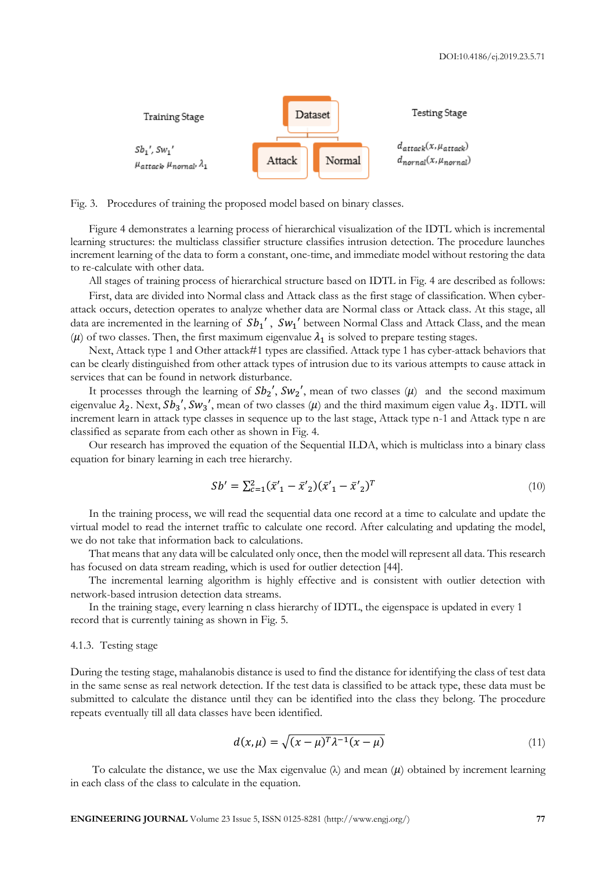

Fig. 3. Procedures of training the proposed model based on binary classes.

Figure 4 demonstrates a learning process of hierarchical visualization of the IDTL which is incremental learning structures: the multiclass classifier structure classifies intrusion detection. The procedure launches increment learning of the data to form a constant, one-time, and immediate model without restoring the data to re-calculate with other data.

All stages of training process of hierarchical structure based on IDTL in Fig. 4 are described as follows:

First, data are divided into Normal class and Attack class as the first stage of classification. When cyberattack occurs, detection operates to analyze whether data are Normal class or Attack class. At this stage, all data are incremented in the learning of  $Sb<sub>1</sub>'$ ,  $Sw<sub>1</sub>'$  between Normal Class and Attack Class, and the mean ( $\mu$ ) of two classes. Then, the first maximum eigenvalue  $\lambda_1$  is solved to prepare testing stages.

Next, Attack type 1 and Other attack#1 types are classified. Attack type 1 has cyber-attack behaviors that can be clearly distinguished from other attack types of intrusion due to its various attempts to cause attack in services that can be found in network disturbance.

It processes through the learning of  $Sb_2$ ',  $Sw_2$ ', mean of two classes  $(\mu)$  and the second maximum eigenvalue  $\lambda_2$ . Next,  $Sb_3$ ',  $Sw_3$ ', mean of two classes ( $\mu$ ) and the third maximum eigen value  $\lambda_3$ . IDTL will increment learn in attack type classes in sequence up to the last stage, Attack type n-1 and Attack type n are classified as separate from each other as shown in Fig. 4.

Our research has improved the equation of the Sequential ILDA, which is multiclass into a binary class equation for binary learning in each tree hierarchy.

$$
Sb' = \sum_{c=1}^{2} (\bar{x}'_1 - \bar{x}'_2)(\bar{x}'_1 - \bar{x}'_2)^T
$$
\n(10)

In the training process, we will read the sequential data one record at a time to calculate and update the virtual model to read the internet traffic to calculate one record. After calculating and updating the model, we do not take that information back to calculations.

That means that any data will be calculated only once, then the model will represent all data. This research has focused on data stream reading, which is used for outlier detection [44].

The incremental learning algorithm is highly effective and is consistent with outlier detection with network-based intrusion detection data streams.

In the training stage, every learning n class hierarchy of IDTL, the eigenspace is updated in every 1 record that is currently taining as shown in Fig. 5.

#### 4.1.3. Testing stage

During the testing stage, mahalanobis distance is used to find the distance for identifying the class of test data in the same sense as real network detection. If the test data is classified to be attack type, these data must be submitted to calculate the distance until they can be identified into the class they belong. The procedure repeats eventually till all data classes have been identified.

$$
d(x,\mu) = \sqrt{(x-\mu)^T \lambda^{-1} (x-\mu)}
$$
\n(11)

To calculate the distance, we use the Max eigenvalue  $(\lambda)$  and mean  $(\mu)$  obtained by increment learning in each class of the class to calculate in the equation.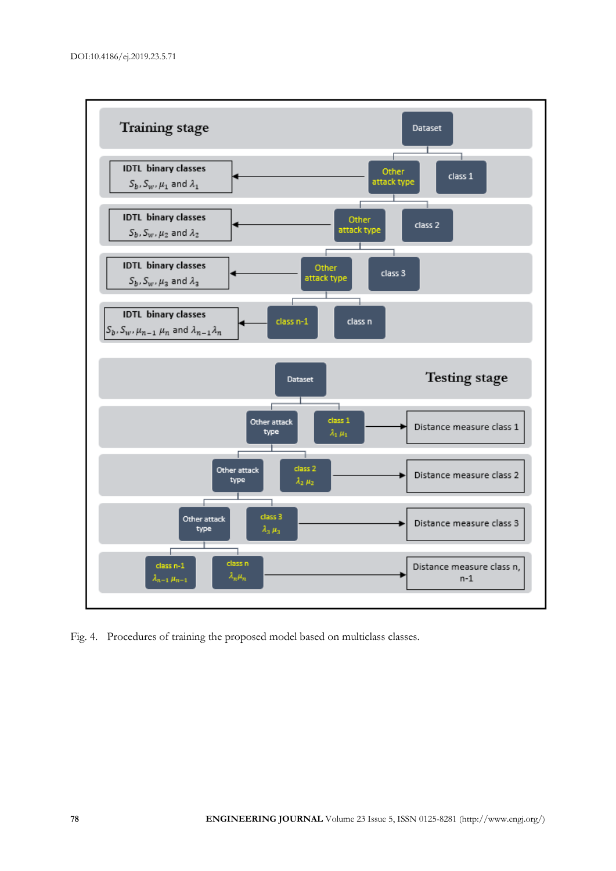

Fig. 4. Procedures of training the proposed model based on multiclass classes.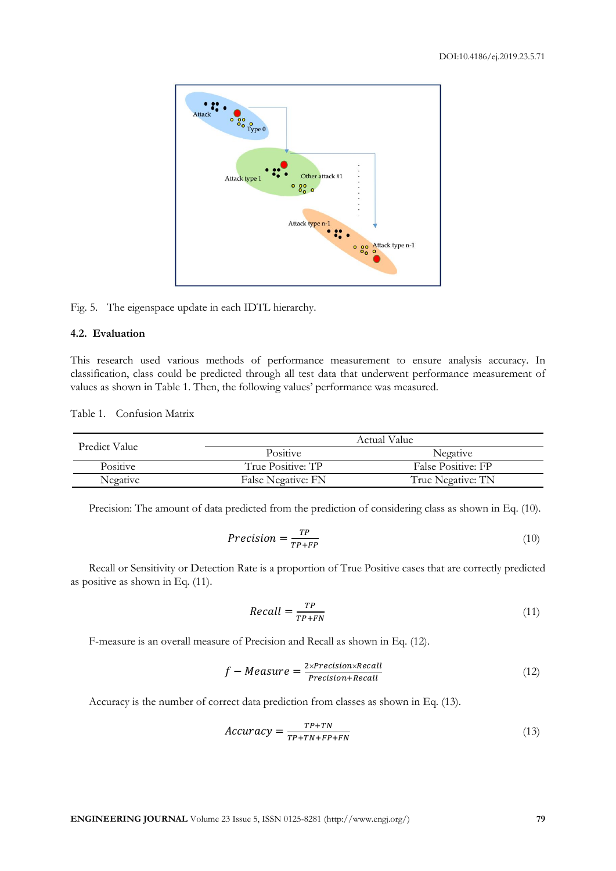

Fig. 5. The eigenspace update in each IDTL hierarchy.

# **4.2. Evaluation**

This research used various methods of performance measurement to ensure analysis accuracy. In classification, class could be predicted through all test data that underwent performance measurement of values as shown in Table 1. Then, the following values' performance was measured.

Table 1. Confusion Matrix

| Predict Value   | Actual Value       |                    |  |  |
|-----------------|--------------------|--------------------|--|--|
|                 | <b>Positive</b>    | Negative           |  |  |
| <b>Positive</b> | True Positive: TP  | False Positive: FP |  |  |
| Negative        | False Negative: FN | True Negative: TN  |  |  |

Precision: The amount of data predicted from the prediction of considering class as shown in Eq. (10).

$$
Precision = \frac{TP}{TP + FP}
$$
\n(10)

Recall or Sensitivity or Detection Rate is a proportion of True Positive cases that are correctly predicted as positive as shown in Eq. (11).

$$
Recall = \frac{TP}{TP + FN} \tag{11}
$$

F-measure is an overall measure of Precision and Recall as shown in Eq. (12).

$$
f-Measure = \frac{2 \times Precision \times Recall}{Precision + Recall}
$$
 (12)

Accuracy is the number of correct data prediction from classes as shown in Eq. (13).

$$
Accuracy = \frac{TP + TN}{TP + TN + FP + FN}
$$
 (13)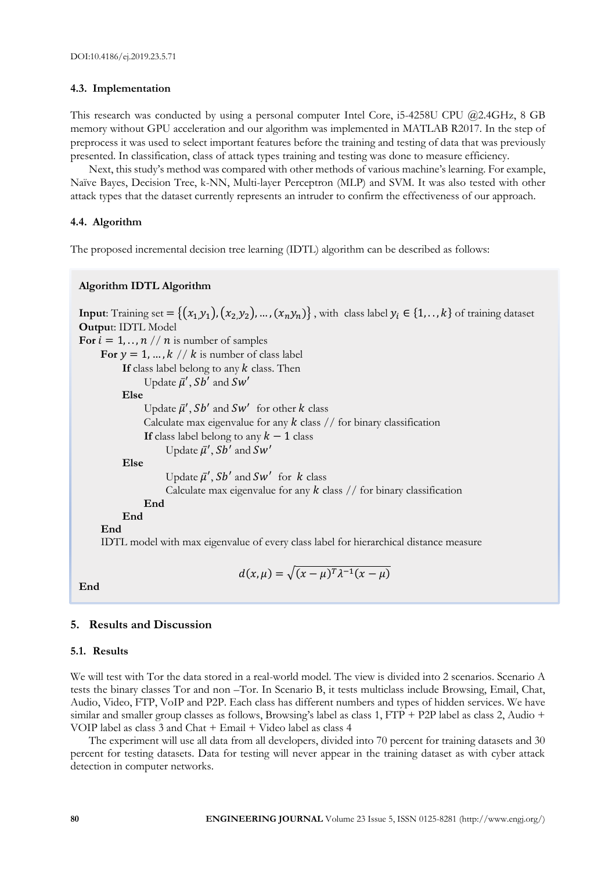## **4.3. Implementation**

This research was conducted by using a personal computer Intel Core, i5-4258U CPU @2.4GHz, 8 GB memory without GPU acceleration and our algorithm was implemented in MATLAB R2017. In the step of preprocess it was used to select important features before the training and testing of data that was previously presented. In classification, class of attack types training and testing was done to measure efficiency.

Next, this study's method was compared with other methods of various machine's learning. For example, Naïve Bayes, Decision Tree, k-NN, Multi-layer Perceptron (MLP) and SVM. It was also tested with other attack types that the dataset currently represents an intruder to confirm the effectiveness of our approach.

## **4.4. Algorithm**

The proposed incremental decision tree learning (IDTL) algorithm can be described as follows:

## **Algorithm IDTL Algorithm**

**Input**: Training set =  $\{(x_1,y_1), (x_2,y_2), ..., (x_n,y_n)\}$ , with class label  $y_i \in \{1, ..., k\}$  of training dataset **Outpu**t: IDTL Model **For**  $i = 1, \ldots, n$  //  $n$  is number of samples For  $y = 1, ..., k$  //  $k$  is number of class label If class label belong to any  $k$  class. Then Update  $\bar{\mu}'$ , Sb' and Sw' **Else** Update  $\bar{\mu}'$ , Sb' and Sw' for other k class Calculate max eigenvalue for any  $k$  class  $//$  for binary classification **If** class label belong to any  $k - 1$  class Update  $\bar{\mu}'$ , Sb' and Sw' **Else** Update  $\bar{\mu}'$ , Sb' and Sw' for k class Calculate max eigenvalue for any  $k$  class // for binary classification **End End End**  IDTL model with max eigenvalue of every class label for hierarchical distance measure

**End**

## **5. Results and Discussion**

#### **5.1. Results**

We will test with Tor the data stored in a real-world model. The view is divided into 2 scenarios. Scenario A tests the binary classes Tor and non –Tor. In Scenario B, it tests multiclass include Browsing, Email, Chat, Audio, Video, FTP, VoIP and P2P. Each class has different numbers and types of hidden services. We have similar and smaller group classes as follows, Browsing's label as class 1, FTP + P2P label as class 2, Audio + VOIP label as class 3 and Chat + Email + Video label as class 4

 $d(x,\mu) = \sqrt{(x-\mu)^T \lambda^{-1}(x-\mu)}$ 

The experiment will use all data from all developers, divided into 70 percent for training datasets and 30 percent for testing datasets. Data for testing will never appear in the training dataset as with cyber attack detection in computer networks.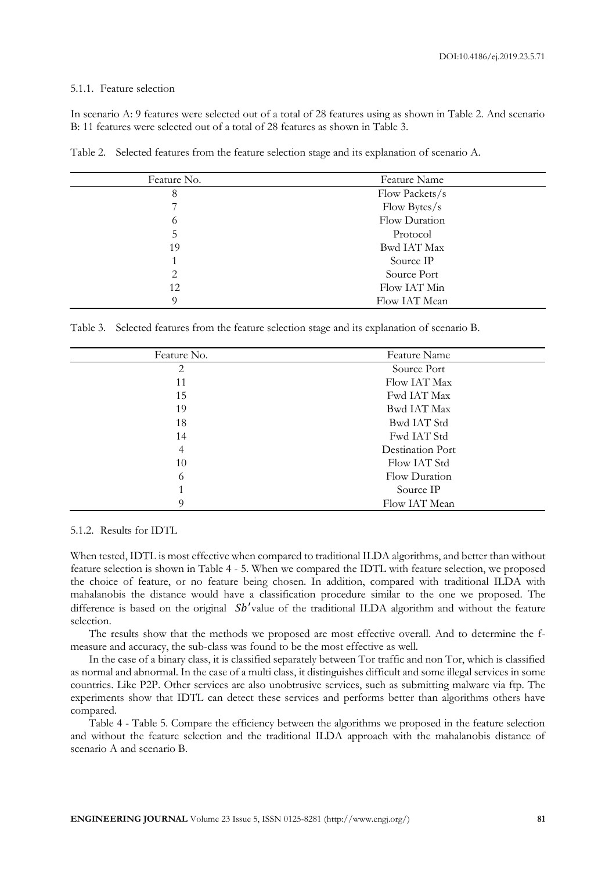#### 5.1.1. Feature selection

In scenario A: 9 features were selected out of a total of 28 features using as shown in Table 2. And scenario B: 11 features were selected out of a total of 28 features as shown in Table 3.

Table 2. Selected features from the feature selection stage and its explanation of scenario A.

| Feature No. | Feature Name       |
|-------------|--------------------|
| 8           | Flow Packets/s     |
|             | Flow Bytes/s       |
| 6           | Flow Duration      |
| 5           | Protocol           |
| 19          | <b>Bwd IAT Max</b> |
|             | Source IP          |
| 2           | Source Port        |
| 12          | Flow IAT Min       |
| 9           | Flow IAT Mean      |

Table 3. Selected features from the feature selection stage and its explanation of scenario B.

| Feature No. | Feature Name            |
|-------------|-------------------------|
| 2           | Source Port             |
| 11          | Flow IAT Max            |
| 15          | Fwd IAT Max             |
| 19          | <b>Bwd IAT Max</b>      |
| 18          | Bwd IAT Std             |
| 14          | Fwd IAT Std             |
| 4           | <b>Destination Port</b> |
| 10          | Flow IAT Std            |
| 6           | Flow Duration           |
|             | Source IP               |
|             | Flow IAT Mean           |
|             |                         |

## 5.1.2. Results for IDTL

When tested, IDTL is most effective when compared to traditional ILDA algorithms, and better than without feature selection is shown in Table 4 - 5. When we compared the IDTL with feature selection, we proposed the choice of feature, or no feature being chosen. In addition, compared with traditional ILDA with mahalanobis the distance would have a classification procedure similar to the one we proposed. The difference is based on the original  $Sb'$  value of the traditional ILDA algorithm and without the feature selection.

The results show that the methods we proposed are most effective overall. And to determine the fmeasure and accuracy, the sub-class was found to be the most effective as well.

In the case of a binary class, it is classified separately between Tor traffic and non Tor, which is classified as normal and abnormal. In the case of a multi class, it distinguishes difficult and some illegal services in some countries. Like P2P. Other services are also unobtrusive services, such as submitting malware via ftp. The experiments show that IDTL can detect these services and performs better than algorithms others have compared.

Table 4 - Table 5. Compare the efficiency between the algorithms we proposed in the feature selection and without the feature selection and the traditional ILDA approach with the mahalanobis distance of scenario A and scenario B.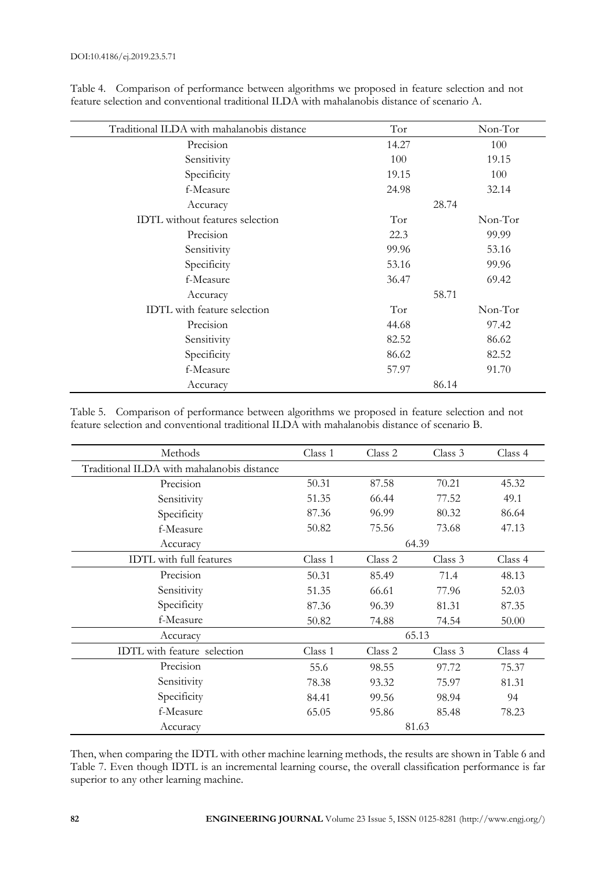| Traditional ILDA with mahalanobis distance | Tor   | Non-Tor |
|--------------------------------------------|-------|---------|
| Precision                                  | 14.27 | 100     |
| Sensitivity                                | 100   | 19.15   |
| Specificity                                | 19.15 | 100     |
| f-Measure                                  | 24.98 | 32.14   |
| Accuracy                                   |       | 28.74   |
| <b>IDTL</b> without features selection     | Tor   | Non-Tor |
| Precision                                  | 22.3  | 99.99   |
| Sensitivity                                | 99.96 | 53.16   |
| Specificity                                | 53.16 | 99.96   |
| f-Measure                                  | 36.47 | 69.42   |
| Accuracy                                   | 58.71 |         |
| <b>IDTL</b> with feature selection         | Tor   | Non-Tor |
| Precision                                  | 44.68 | 97.42   |
| Sensitivity                                | 82.52 | 86.62   |
| Specificity                                | 86.62 | 82.52   |
| f-Measure                                  | 57.97 | 91.70   |
| Accuracy                                   |       | 86.14   |

Table 4. Comparison of performance between algorithms we proposed in feature selection and not feature selection and conventional traditional ILDA with mahalanobis distance of scenario A.

Table 5. Comparison of performance between algorithms we proposed in feature selection and not feature selection and conventional traditional ILDA with mahalanobis distance of scenario B.

| Methods                                    | Class 1 | Class 2 | Class 3 | Class 4 |
|--------------------------------------------|---------|---------|---------|---------|
| Traditional ILDA with mahalanobis distance |         |         |         |         |
| Precision                                  | 50.31   | 87.58   | 70.21   | 45.32   |
| Sensitivity                                | 51.35   | 66.44   | 77.52   | 49.1    |
| Specificity                                | 87.36   | 96.99   | 80.32   | 86.64   |
| f-Measure                                  | 50.82   | 75.56   | 73.68   | 47.13   |
| Accuracy                                   |         |         | 64.39   |         |
| <b>IDTL</b> with full features             | Class 1 | Class 2 | Class 3 | Class 4 |
| Precision                                  | 50.31   | 85.49   | 71.4    | 48.13   |
| Sensitivity                                | 51.35   | 66.61   | 77.96   | 52.03   |
| Specificity                                | 87.36   | 96.39   | 81.31   | 87.35   |
| f-Measure                                  | 50.82   | 74.88   | 74.54   | 50.00   |
| Accuracy                                   | 65.13   |         |         |         |
| IDTL with feature selection                | Class 1 | Class 2 | Class 3 | Class 4 |
| Precision                                  | 55.6    | 98.55   | 97.72   | 75.37   |
| Sensitivity                                | 78.38   | 93.32   | 75.97   | 81.31   |
| Specificity                                | 84.41   | 99.56   | 98.94   | 94      |
| f-Measure                                  | 65.05   | 95.86   | 85.48   | 78.23   |
| Accuracy                                   |         |         | 81.63   |         |

Then, when comparing the IDTL with other machine learning methods, the results are shown in Table 6 and Table 7. Even though IDTL is an incremental learning course, the overall classification performance is far superior to any other learning machine.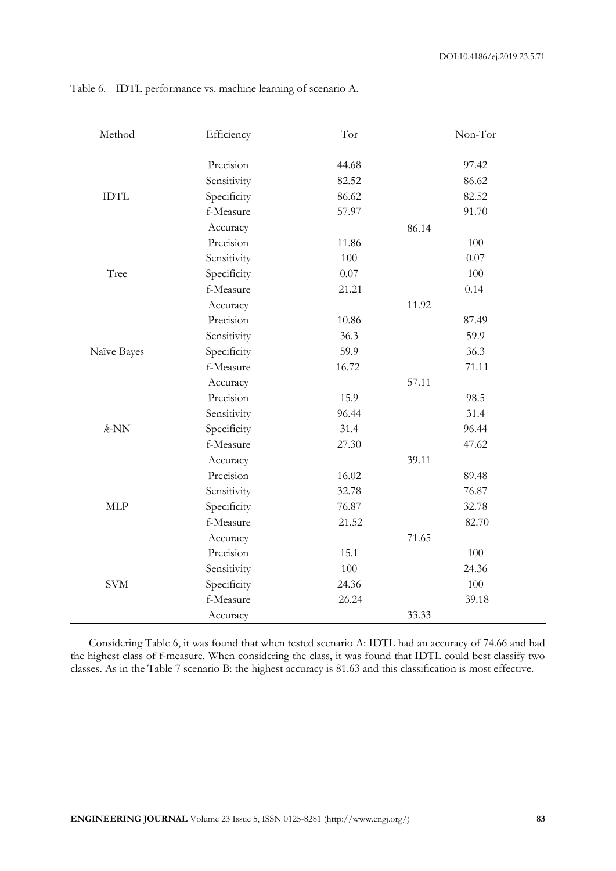| Method      | Efficiency  | Tor   | Non-Tor  |
|-------------|-------------|-------|----------|
|             | Precision   | 44.68 | 97.42    |
|             | Sensitivity | 82.52 | 86.62    |
| <b>IDTL</b> | Specificity | 86.62 | 82.52    |
|             | f-Measure   | 57.97 | 91.70    |
|             | Accuracy    |       | 86.14    |
|             | Precision   | 11.86 | 100      |
|             | Sensitivity | 100   | $0.07\,$ |
| Tree        | Specificity | 0.07  | 100      |
|             | f-Measure   | 21.21 | 0.14     |
|             | Accuracy    |       | 11.92    |
|             | Precision   | 10.86 | 87.49    |
|             | Sensitivity | 36.3  | 59.9     |
| Naïve Bayes | Specificity | 59.9  | 36.3     |
|             | f-Measure   | 16.72 | 71.11    |
|             | Accuracy    |       | 57.11    |
|             | Precision   | 15.9  | 98.5     |
|             | Sensitivity | 96.44 | 31.4     |
| $k$ -NN     | Specificity | 31.4  | 96.44    |
|             | f-Measure   | 27.30 | 47.62    |
|             | Accuracy    |       | 39.11    |
|             | Precision   | 16.02 | 89.48    |
|             | Sensitivity | 32.78 | 76.87    |
| MLP         | Specificity | 76.87 | 32.78    |
|             | f-Measure   | 21.52 | 82.70    |
|             | Accuracy    |       | 71.65    |
|             | Precision   | 15.1  | 100      |
|             | Sensitivity | 100   | 24.36    |
| <b>SVM</b>  | Specificity | 24.36 | 100      |
|             | f-Measure   | 26.24 | 39.18    |
|             | Accuracy    |       | 33.33    |

Table 6. IDTL performance vs. machine learning of scenario A.

Considering Table 6, it was found that when tested scenario A: IDTL had an accuracy of 74.66 and had the highest class of f-measure. When considering the class, it was found that IDTL could best classify two classes. As in the Table 7 scenario B: the highest accuracy is 81.63 and this classification is most effective.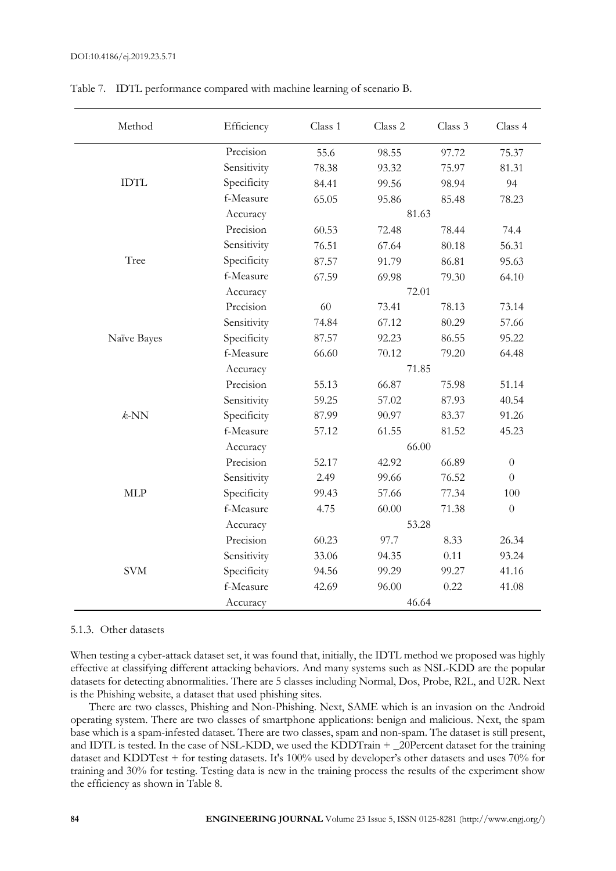| Method                      | Efficiency  | Class 1 | Class 2 | Class 3 | Class 4          |  |  |
|-----------------------------|-------------|---------|---------|---------|------------------|--|--|
|                             | Precision   | 55.6    | 98.55   | 97.72   | 75.37            |  |  |
|                             | Sensitivity | 78.38   | 93.32   | 75.97   | 81.31            |  |  |
| $\text{ID}\text{T}\text{L}$ | Specificity | 84.41   | 99.56   | 98.94   | 94               |  |  |
|                             | f-Measure   | 65.05   | 95.86   | 85.48   | 78.23            |  |  |
|                             | Accuracy    | 81.63   |         |         |                  |  |  |
|                             | Precision   | 60.53   | 72.48   | 78.44   | 74.4             |  |  |
|                             | Sensitivity | 76.51   | 67.64   | 80.18   | 56.31            |  |  |
| Tree                        | Specificity | 87.57   | 91.79   | 86.81   | 95.63            |  |  |
|                             | f-Measure   | 67.59   | 69.98   | 79.30   | 64.10            |  |  |
|                             | Accuracy    |         | 72.01   |         |                  |  |  |
|                             | Precision   | 60      | 73.41   | 78.13   | 73.14            |  |  |
|                             | Sensitivity | 74.84   | 67.12   | 80.29   | 57.66            |  |  |
| Naïve Bayes                 | Specificity | 87.57   | 92.23   | 86.55   | 95.22            |  |  |
|                             | f-Measure   | 66.60   | 70.12   | 79.20   | 64.48            |  |  |
|                             | Accuracy    | 71.85   |         |         |                  |  |  |
|                             | Precision   | 55.13   | 66.87   | 75.98   | 51.14            |  |  |
|                             | Sensitivity | 59.25   | 57.02   | 87.93   | 40.54            |  |  |
| $k$ -NN                     | Specificity | 87.99   | 90.97   | 83.37   | 91.26            |  |  |
|                             | f-Measure   | 57.12   | 61.55   | 81.52   | 45.23            |  |  |
|                             | Accuracy    |         | 66.00   |         |                  |  |  |
|                             | Precision   | 52.17   | 42.92   | 66.89   | $\boldsymbol{0}$ |  |  |
|                             | Sensitivity | 2.49    | 99.66   | 76.52   | $\boldsymbol{0}$ |  |  |
| MLP                         | Specificity | 99.43   | 57.66   | 77.34   | 100              |  |  |
|                             | f-Measure   | 4.75    | 60.00   | 71.38   | $\boldsymbol{0}$ |  |  |
|                             | Accuracy    | 53.28   |         |         |                  |  |  |
|                             | Precision   | 60.23   | 97.7    | 8.33    | 26.34            |  |  |
|                             | Sensitivity | 33.06   | 94.35   | 0.11    | 93.24            |  |  |
| <b>SVM</b>                  | Specificity | 94.56   | 99.29   | 99.27   | 41.16            |  |  |
|                             | f-Measure   | 42.69   | 96.00   | 0.22    | 41.08            |  |  |
|                             | Accuracy    |         | 46.64   |         |                  |  |  |

Table 7. IDTL performance compared with machine learning of scenario B.

#### 5.1.3. Other datasets

When testing a cyber-attack dataset set, it was found that, initially, the IDTL method we proposed was highly effective at classifying different attacking behaviors. And many systems such as NSL-KDD are the popular datasets for detecting abnormalities. There are 5 classes including Normal, Dos, Probe, R2L, and U2R. Next is the Phishing website, a dataset that used phishing sites.

There are two classes, Phishing and Non-Phishing. Next, SAME which is an invasion on the Android operating system. There are two classes of smartphone applications: benign and malicious. Next, the spam base which is a spam-infested dataset. There are two classes, spam and non-spam. The dataset is still present, and IDTL is tested. In the case of NSL-KDD, we used the KDDTrain + 20Percent dataset for the training dataset and KDDTest + for testing datasets. It's 100% used by developer's other datasets and uses 70% for training and 30% for testing. Testing data is new in the training process the results of the experiment show the efficiency as shown in Table 8.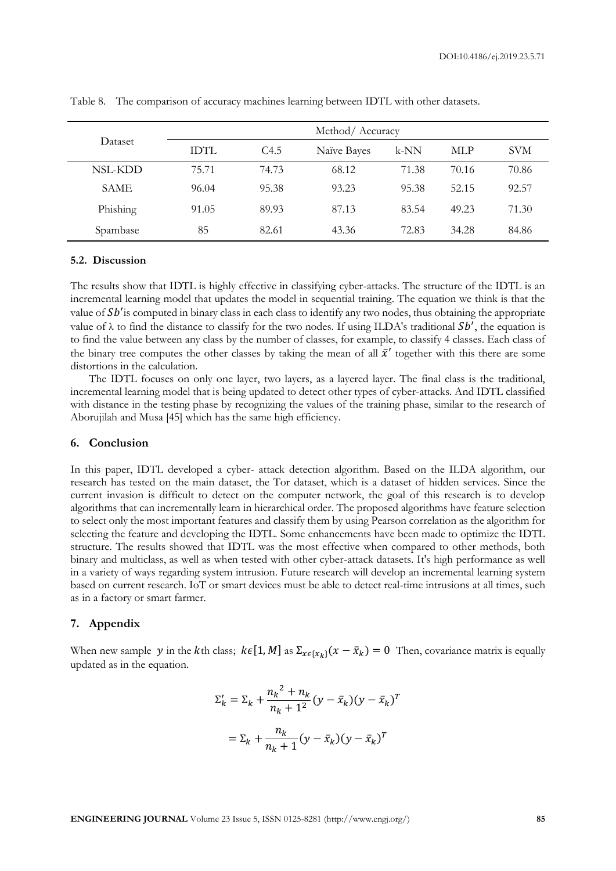DOI:10.4186/ej.2019.23.5.71

| Dataset     | Method/Accuracy |       |             |        |       |            |
|-------------|-----------------|-------|-------------|--------|-------|------------|
|             | IDTL            | C4.5  | Naïve Bayes | $k-NN$ | MLP   | <b>SVM</b> |
| NSL-KDD     | 75.71           | 74.73 | 68.12       | 71.38  | 70.16 | 70.86      |
| <b>SAME</b> | 96.04           | 95.38 | 93.23       | 95.38  | 52.15 | 92.57      |
| Phishing    | 91.05           | 89.93 | 87.13       | 83.54  | 49.23 | 71.30      |
| Spambase    | 85              | 82.61 | 43.36       | 72.83  | 34.28 | 84.86      |

Table 8. The comparison of accuracy machines learning between IDTL with other datasets.

#### **5.2. Discussion**

The results show that IDTL is highly effective in classifying cyber-attacks. The structure of the IDTL is an incremental learning model that updates the model in sequential training. The equation we think is that the value of  $Sb'$  is computed in binary class in each class to identify any two nodes, thus obtaining the appropriate value of  $\lambda$  to find the distance to classify for the two nodes. If using ILDA's traditional  $Sb'$ , the equation is to find the value between any class by the number of classes, for example, to classify 4 classes. Each class of the binary tree computes the other classes by taking the mean of all  $\bar{x}'$  together with this there are some distortions in the calculation.

The IDTL focuses on only one layer, two layers, as a layered layer. The final class is the traditional, incremental learning model that is being updated to detect other types of cyber-attacks. And IDTL classified with distance in the testing phase by recognizing the values of the training phase, similar to the research of Aborujilah and Musa [45] which has the same high efficiency.

## **6. Conclusion**

In this paper, IDTL developed a cyber- attack detection algorithm. Based on the ILDA algorithm, our research has tested on the main dataset, the Tor dataset, which is a dataset of hidden services. Since the current invasion is difficult to detect on the computer network, the goal of this research is to develop algorithms that can incrementally learn in hierarchical order. The proposed algorithms have feature selection to select only the most important features and classify them by using Pearson correlation as the algorithm for selecting the feature and developing the IDTL. Some enhancements have been made to optimize the IDTL structure. The results showed that IDTL was the most effective when compared to other methods, both binary and multiclass, as well as when tested with other cyber-attack datasets. It's high performance as well in a variety of ways regarding system intrusion. Future research will develop an incremental learning system based on current research. IoT or smart devices must be able to detect real-time intrusions at all times, such as in a factory or smart farmer.

#### **7. Appendix**

When new sample y in the kth class;  $k \in [1, M]$  as  $\Sigma_{x \in \{x_k\}}(x - \bar{x}_k) = 0$  Then, covariance matrix is equally updated as in the equation.

$$
\Sigma'_{k} = \Sigma_{k} + \frac{n_{k}^{2} + n_{k}}{n_{k} + 1^{2}} (y - \bar{x}_{k})(y - \bar{x}_{k})^{T}
$$

$$
= \Sigma_k + \frac{n_k}{n_k+1} (y - \bar{x}_k)(y - \bar{x}_k)^T
$$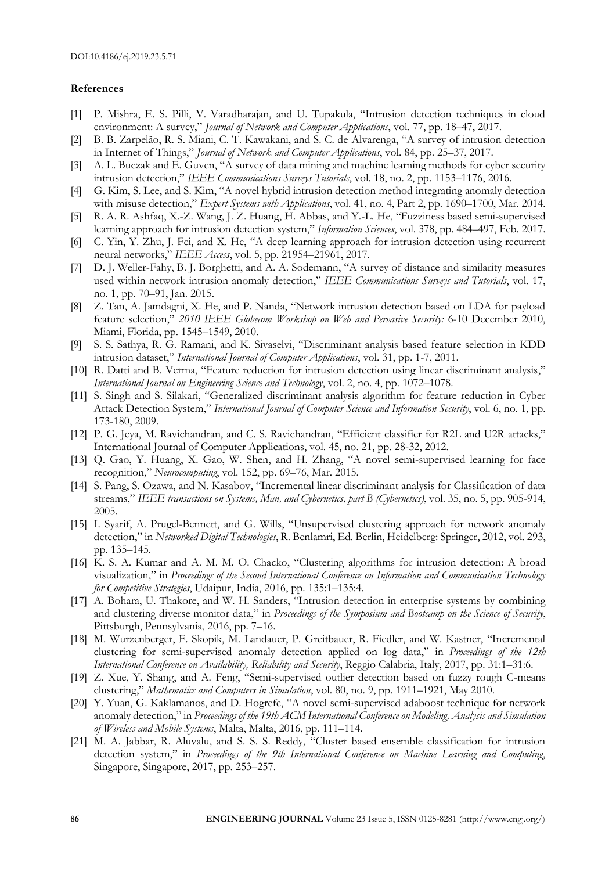#### **References**

- [1] P. Mishra, E. S. Pilli, V. Varadharajan, and U. Tupakula, "Intrusion detection techniques in cloud environment: A survey," *Journal of Network and Computer Applications*, vol. 77, pp. 18–47, 2017.
- [2] B. B. Zarpelão, R. S. Miani, C. T. Kawakani, and S. C. de Alvarenga, "A survey of intrusion detection in Internet of Things," *Journal of Network and Computer Applications*, vol. 84, pp. 25–37, 2017.
- [3] A. L. Buczak and E. Guven, "A survey of data mining and machine learning methods for cyber security intrusion detection," *IEEE Communications Surveys Tutorials*, vol. 18, no. 2, pp. 1153–1176, 2016.
- [4] G. Kim, S. Lee, and S. Kim, "A novel hybrid intrusion detection method integrating anomaly detection with misuse detection," *Expert Systems with Applications*, vol. 41, no. 4, Part 2, pp. 1690–1700, Mar. 2014.
- [5] R. A. R. Ashfaq, X.-Z. Wang, J. Z. Huang, H. Abbas, and Y.-L. He, "Fuzziness based semi-supervised learning approach for intrusion detection system," *Information Sciences*, vol. 378, pp. 484–497, Feb. 2017.
- [6] C. Yin, Y. Zhu, J. Fei, and X. He, "A deep learning approach for intrusion detection using recurrent neural networks," *IEEE Access*, vol. 5, pp. 21954–21961, 2017.
- [7] D. J. Weller-Fahy, B. J. Borghetti, and A. A. Sodemann, "A survey of distance and similarity measures used within network intrusion anomaly detection," *IEEE Communications Surveys and Tutorials*, vol. 17, no. 1, pp. 70–91, Jan. 2015.
- [8] Z. Tan, A. Jamdagni, X. He, and P. Nanda, "Network intrusion detection based on LDA for payload feature selection," *2010 IEEE Globecom Workshop on Web and Pervasive Security:* 6-10 December 2010, Miami, Florida, pp. 1545–1549, 2010.
- [9] S. S. Sathya, R. G. Ramani, and K. Sivaselvi, "Discriminant analysis based feature selection in KDD intrusion dataset," *International Journal of Computer Applications*, vol. 31, pp. 1-7, 2011.
- [10] R. Datti and B. Verma, "Feature reduction for intrusion detection using linear discriminant analysis," *International Journal on Engineering Science and Technology*, vol. 2, no. 4, pp. 1072–1078.
- [11] S. Singh and S. Silakari, "Generalized discriminant analysis algorithm for feature reduction in Cyber Attack Detection System," *International Journal of Computer Science and Information Security*, vol. 6, no. 1, pp. 173-180, 2009.
- [12] P. G. Jeya, M. Ravichandran, and C. S. Ravichandran, "Efficient classifier for R2L and U2R attacks," International Journal of Computer Applications, vol. 45, no. 21, pp. 28-32, 2012.
- [13] Q. Gao, Y. Huang, X. Gao, W. Shen, and H. Zhang, "A novel semi-supervised learning for face recognition," *Neurocomputing*, vol. 152, pp. 69–76, Mar. 2015.
- [14] S. Pang, S. Ozawa, and N. Kasabov, "Incremental linear discriminant analysis for Classification of data streams," *IEEE transactions on Systems, Man, and Cybernetics, part B (Cybernetics)*, vol. 35, no. 5, pp. 905-914, 2005.
- [15] I. Syarif, A. Prugel-Bennett, and G. Wills, "Unsupervised clustering approach for network anomaly detection," in *Networked Digital Technologies*, R. Benlamri, Ed. Berlin, Heidelberg: Springer, 2012, vol. 293, pp. 135–145.
- [16] K. S. A. Kumar and A. M. M. O. Chacko, "Clustering algorithms for intrusion detection: A broad visualization," in *Proceedings of the Second International Conference on Information and Communication Technology for Competitive Strategies*, Udaipur, India, 2016, pp. 135:1–135:4.
- [17] A. Bohara, U. Thakore, and W. H. Sanders, "Intrusion detection in enterprise systems by combining and clustering diverse monitor data," in *Proceedings of the Symposium and Bootcamp on the Science of Security*, Pittsburgh, Pennsylvania, 2016, pp. 7–16.
- [18] M. Wurzenberger, F. Skopik, M. Landauer, P. Greitbauer, R. Fiedler, and W. Kastner, "Incremental clustering for semi-supervised anomaly detection applied on log data," in *Proceedings of the 12th International Conference on Availability, Reliability and Security*, Reggio Calabria, Italy, 2017, pp. 31:1–31:6.
- [19] Z. Xue, Y. Shang, and A. Feng, "Semi-supervised outlier detection based on fuzzy rough C-means clustering," *Mathematics and Computers in Simulation*, vol. 80, no. 9, pp. 1911–1921, May 2010.
- [20] Y. Yuan, G. Kaklamanos, and D. Hogrefe, "A novel semi-supervised adaboost technique for network anomaly detection," in *Proceedings of the 19th ACM International Conference on Modeling, Analysis and Simulation of Wireless and Mobile Systems*, Malta, Malta, 2016, pp. 111–114.
- [21] M. A. Jabbar, R. Aluvalu, and S. S. S. Reddy, "Cluster based ensemble classification for intrusion detection system," in *Proceedings of the 9th International Conference on Machine Learning and Computing*, Singapore, Singapore, 2017, pp. 253–257.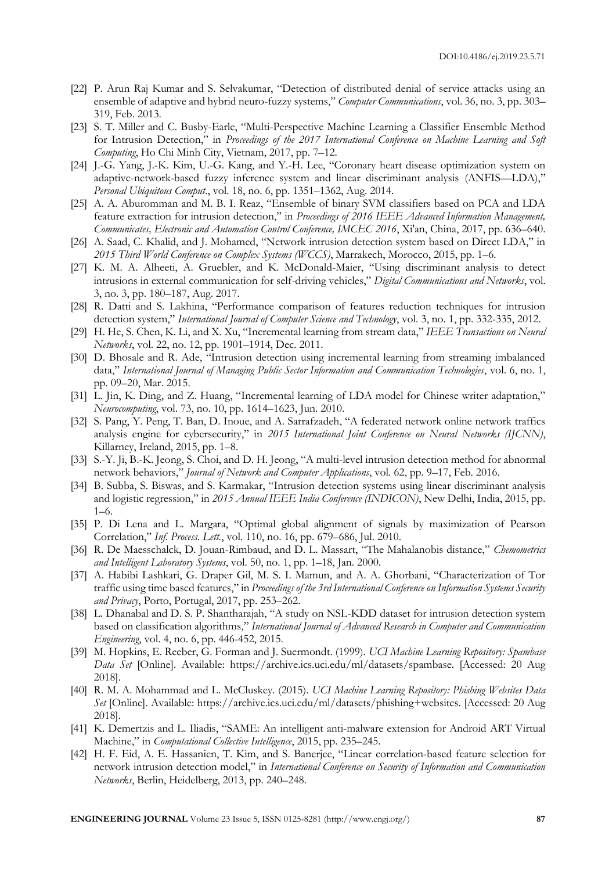- [22] P. Arun Raj Kumar and S. Selvakumar, "Detection of distributed denial of service attacks using an ensemble of adaptive and hybrid neuro-fuzzy systems," *Computer Communications*, vol. 36, no. 3, pp. 303– 319, Feb. 2013.
- [23] S. T. Miller and C. Busby-Earle, "Multi-Perspective Machine Learning a Classifier Ensemble Method for Intrusion Detection," in *Proceedings of the 2017 International Conference on Machine Learning and Soft Computing*, Ho Chi Minh City, Vietnam, 2017, pp. 7–12.
- [24] J.-G. Yang, J.-K. Kim, U.-G. Kang, and Y.-H. Lee, "Coronary heart disease optimization system on adaptive-network-based fuzzy inference system and linear discriminant analysis (ANFIS—LDA)," *Personal Ubiquitous Comput.*, vol. 18, no. 6, pp. 1351–1362, Aug. 2014.
- [25] A. A. Aburomman and M. B. I. Reaz, "Ensemble of binary SVM classifiers based on PCA and LDA feature extraction for intrusion detection," in *Proceedings of 2016 IEEE Advanced Information Management, Communicates, Electronic and Automation Control Conference, IMCEC 2016*, Xi'an, China, 2017, pp. 636–640.
- [26] A. Saad, C. Khalid, and J. Mohamed, "Network intrusion detection system based on Direct LDA," in *2015 Third World Conference on Complex Systems (WCCS)*, Marrakech, Morocco, 2015, pp. 1–6.
- [27] K. M. A. Alheeti, A. Gruebler, and K. McDonald-Maier, "Using discriminant analysis to detect intrusions in external communication for self-driving vehicles," *Digital Communications and Networks*, vol. 3, no. 3, pp. 180–187, Aug. 2017.
- [28] R. Datti and S. Lakhina, "Performance comparison of features reduction techniques for intrusion detection system," *International Journal of Computer Science and Technology*, vol. 3, no. 1, pp. 332-335, 2012.
- [29] H. He, S. Chen, K. Li, and X. Xu, "Incremental learning from stream data," *IEEE Transactions on Neural Networks*, vol. 22, no. 12, pp. 1901–1914, Dec. 2011.
- [30] D. Bhosale and R. Ade, "Intrusion detection using incremental learning from streaming imbalanced data," *International Journal of Managing Public Sector Information and Communication Technologies*, vol. 6, no. 1, pp. 09–20, Mar. 2015.
- [31] L. Jin, K. Ding, and Z. Huang, "Incremental learning of LDA model for Chinese writer adaptation," *Neurocomputing*, vol. 73, no. 10, pp. 1614–1623, Jun. 2010.
- [32] S. Pang, Y. Peng, T. Ban, D. Inoue, and A. Sarrafzadeh, "A federated network online network traffics analysis engine for cybersecurity," in *2015 International Joint Conference on Neural Networks (IJCNN)*, Killarney, Ireland, 2015, pp. 1–8.
- [33] S.-Y. Ji, B.-K. Jeong, S. Choi, and D. H. Jeong, "A multi-level intrusion detection method for abnormal network behaviors," *Journal of Network and Computer Applications*, vol. 62, pp. 9–17, Feb. 2016.
- [34] B. Subba, S. Biswas, and S. Karmakar, "Intrusion detection systems using linear discriminant analysis and logistic regression," in *2015 Annual IEEE India Conference (INDICON)*, New Delhi, India, 2015, pp. 1–6.
- [35] P. Di Lena and L. Margara, "Optimal global alignment of signals by maximization of Pearson Correlation," *Inf. Process. Lett.*, vol. 110, no. 16, pp. 679–686, Jul. 2010.
- [36] R. De Maesschalck, D. Jouan-Rimbaud, and D. L. Massart, "The Mahalanobis distance," *Chemometrics and Intelligent Laboratory Systems*, vol. 50, no. 1, pp. 1–18, Jan. 2000.
- [37] A. Habibi Lashkari, G. Draper Gil, M. S. I. Mamun, and A. A. Ghorbani, "Characterization of Tor traffic using time based features," in *Proceedings of the 3rd International Conference on Information Systems Security and Privacy*, Porto, Portugal, 2017, pp. 253–262.
- [38] L. Dhanabal and D. S. P. Shantharajah, "A study on NSL-KDD dataset for intrusion detection system based on classification algorithms," *International Journal of Advanced Research in Computer and Communication Engineering*, vol. 4, no. 6, pp. 446-452, 2015.
- [39] M. Hopkins, E. Reeber, G. Forman and J. Suermondt. (1999). *UCI Machine Learning Repository: Spambase Data Set* [Online]. Available: https://archive.ics.uci.edu/ml/datasets/spambase. [Accessed: 20 Aug 2018].
- [40] R. M. A. Mohammad and L. McCluskey. (2015). *UCI Machine Learning Repository: Phishing Websites Data Set* [Online]. Available: https://archive.ics.uci.edu/ml/datasets/phishing+websites. [Accessed: 20 Aug 2018].
- [41] K. Demertzis and L. Iliadis, "SAME: An intelligent anti-malware extension for Android ART Virtual Machine," in *Computational Collective Intelligence*, 2015, pp. 235–245.
- [42] H. F. Eid, A. E. Hassanien, T. Kim, and S. Banerjee, "Linear correlation-based feature selection for network intrusion detection model," in *International Conference on Security of Information and Communication Networks*, Berlin, Heidelberg, 2013, pp. 240–248.